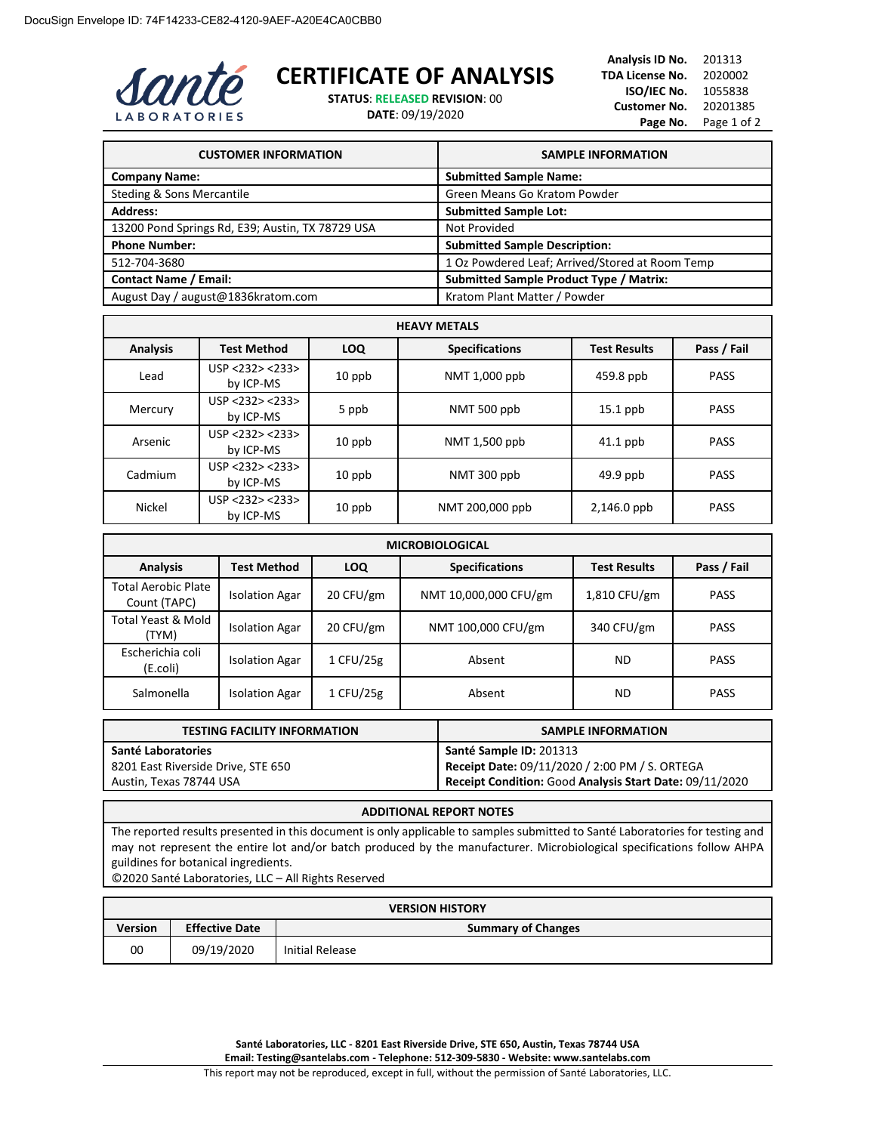

## **CERTIFICATE OF ANALYSIS**

**STATUS**: **RELEASED REVISION**: 00

**DATE**: 09/19/2020

| <b>CUSTOMER INFORMATION</b>                      | <b>SAMPLE INFORMATION</b>                       |
|--------------------------------------------------|-------------------------------------------------|
| <b>Company Name:</b>                             | <b>Submitted Sample Name:</b>                   |
| Steding & Sons Mercantile                        | Green Means Go Kratom Powder                    |
| <b>Address:</b>                                  | <b>Submitted Sample Lot:</b>                    |
| 13200 Pond Springs Rd, E39; Austin, TX 78729 USA | Not Provided                                    |
| <b>Phone Number:</b>                             | <b>Submitted Sample Description:</b>            |
| 512-704-3680                                     | 1 Oz Powdered Leaf; Arrived/Stored at Room Temp |
| <b>Contact Name / Email:</b>                     | <b>Submitted Sample Product Type / Matrix:</b>  |
| August Day / august@1836kratom.com               | Kratom Plant Matter / Powder                    |

| <b>HEAVY METALS</b> |                              |            |                       |                     |             |
|---------------------|------------------------------|------------|-----------------------|---------------------|-------------|
| <b>Analysis</b>     | <b>Test Method</b>           | <b>LOQ</b> | <b>Specifications</b> | <b>Test Results</b> | Pass / Fail |
| Lead                | USP < 232 > 233<br>by ICP-MS | $10$ ppb   | NMT 1,000 ppb         | 459.8 ppb           | <b>PASS</b> |
| Mercury             | USP < 232 > 233<br>by ICP-MS | 5 ppb      | NMT 500 ppb           | $15.1$ ppb          | <b>PASS</b> |
| Arsenic             | USP < 232 > 233<br>by ICP-MS | $10$ ppb   | NMT 1,500 ppb         | $41.1$ ppb          | <b>PASS</b> |
| Cadmium             | USP < 232 > 233<br>by ICP-MS | $10$ ppb   | NMT 300 ppb           | $49.9$ ppb          | <b>PASS</b> |
| <b>Nickel</b>       | USP <232> <233><br>by ICP-MS | $10$ ppb   | NMT 200,000 ppb       | $2,146.0$ ppb       | <b>PASS</b> |

| <b>MICROBIOLOGICAL</b>                     |                       |            |                       |                     |             |
|--------------------------------------------|-----------------------|------------|-----------------------|---------------------|-------------|
| <b>Analysis</b>                            | Test Method           | <b>LOQ</b> | <b>Specifications</b> | <b>Test Results</b> | Pass / Fail |
| <b>Total Aerobic Plate</b><br>Count (TAPC) | <b>Isolation Agar</b> | 20 CFU/gm  | NMT 10,000,000 CFU/gm | 1,810 CFU/gm        | <b>PASS</b> |
| Total Yeast & Mold<br>(TYM)                | <b>Isolation Agar</b> | 20 CFU/gm  | NMT 100,000 CFU/gm    | 340 CFU/gm          | <b>PASS</b> |
| Escherichia coli<br>(E.coli)               | <b>Isolation Agar</b> | 1 CFU/25g  | Absent                | <b>ND</b>           | <b>PASS</b> |
| Salmonella                                 | <b>Isolation Agar</b> | 1 CFU/25g  | Absent                | ND                  | <b>PASS</b> |

| <b>TESTING FACILITY INFORMATION</b> | <b>SAMPLE INFORMATION</b>                               |
|-------------------------------------|---------------------------------------------------------|
| Santé Laboratories                  | Santé Sample ID: 201313                                 |
| 8201 East Riverside Drive, STE 650  | Receipt Date: 09/11/2020 / 2:00 PM / S. ORTEGA          |
| Austin, Texas 78744 USA             | Receipt Condition: Good Analysis Start Date: 09/11/2020 |

## **ADDITIONAL REPORT NOTES**

The reported results presented in this document is only applicable to samples submitted to Santé Laboratories for testing and may not represent the entire lot and/or batch produced by the manufacturer. Microbiological specifications follow AHPA guildines for botanical ingredients.

©2020 Santé Laboratories, LLC – All Rights Reserved

| <b>VERSION HISTORY</b> |                                                    |                 |  |
|------------------------|----------------------------------------------------|-----------------|--|
| Version                | <b>Effective Date</b><br><b>Summary of Changes</b> |                 |  |
| 00                     | 09/19/2020                                         | Initial Release |  |